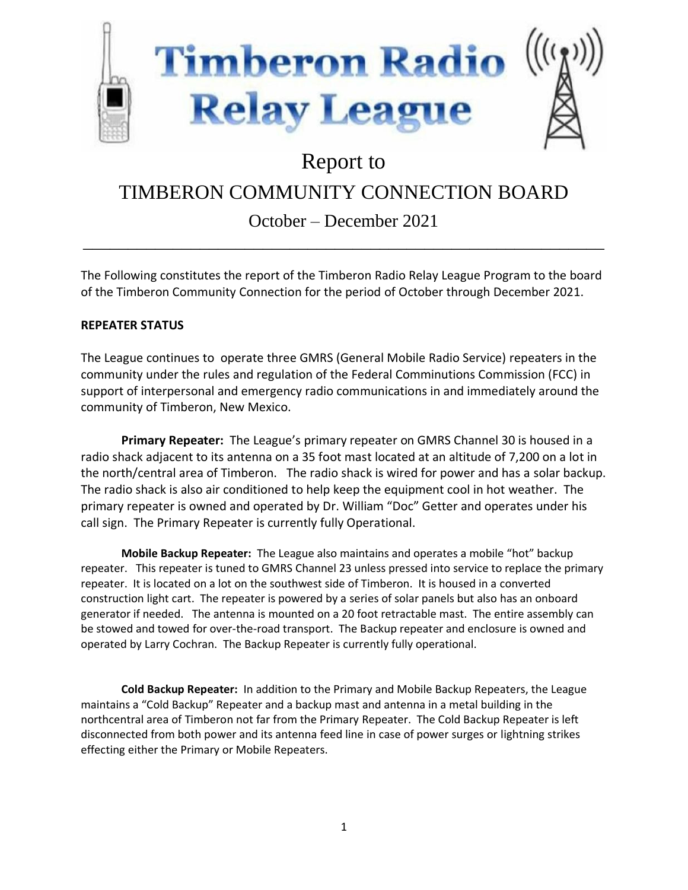

# Report to

# TIMBERON COMMUNITY CONNECTION BOARD

## October – December 2021 \_\_\_\_\_\_\_\_\_\_\_\_\_\_\_\_\_\_\_\_\_\_\_\_\_\_\_\_\_\_\_\_\_\_\_\_\_\_\_\_\_\_\_\_\_\_\_\_\_\_\_\_\_\_\_\_\_\_

The Following constitutes the report of the Timberon Radio Relay League Program to the board of the Timberon Community Connection for the period of October through December 2021.

## **REPEATER STATUS**

The League continues to operate three GMRS (General Mobile Radio Service) repeaters in the community under the rules and regulation of the Federal Comminutions Commission (FCC) in support of interpersonal and emergency radio communications in and immediately around the community of Timberon, New Mexico.

**Primary Repeater:** The League's primary repeater on GMRS Channel 30 is housed in a radio shack adjacent to its antenna on a 35 foot mast located at an altitude of 7,200 on a lot in the north/central area of Timberon. The radio shack is wired for power and has a solar backup. The radio shack is also air conditioned to help keep the equipment cool in hot weather. The primary repeater is owned and operated by Dr. William "Doc" Getter and operates under his call sign. The Primary Repeater is currently fully Operational.

**Mobile Backup Repeater:** The League also maintains and operates a mobile "hot" backup repeater. This repeater is tuned to GMRS Channel 23 unless pressed into service to replace the primary repeater. It is located on a lot on the southwest side of Timberon. It is housed in a converted construction light cart. The repeater is powered by a series of solar panels but also has an onboard generator if needed. The antenna is mounted on a 20 foot retractable mast. The entire assembly can be stowed and towed for over-the-road transport. The Backup repeater and enclosure is owned and operated by Larry Cochran. The Backup Repeater is currently fully operational.

**Cold Backup Repeater:** In addition to the Primary and Mobile Backup Repeaters, the League maintains a "Cold Backup" Repeater and a backup mast and antenna in a metal building in the northcentral area of Timberon not far from the Primary Repeater. The Cold Backup Repeater is left disconnected from both power and its antenna feed line in case of power surges or lightning strikes effecting either the Primary or Mobile Repeaters.